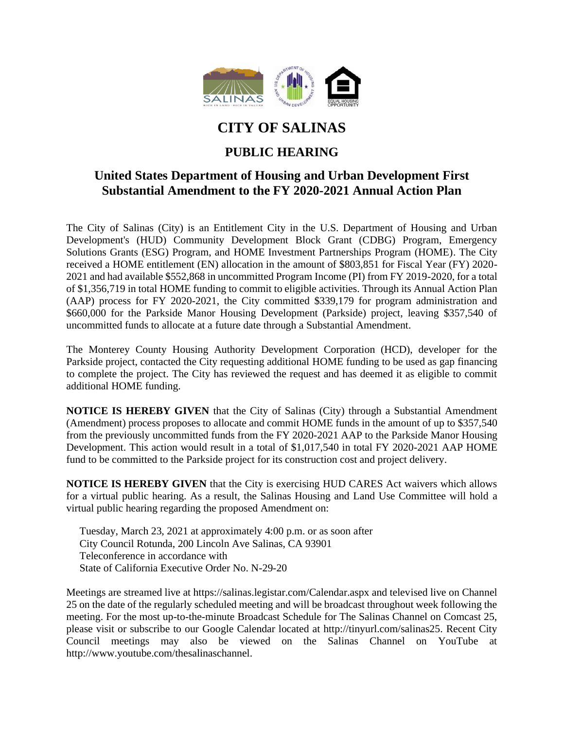

## **CITY OF SALINAS**

## **PUBLIC HEARING**

## **United States Department of Housing and Urban Development First Substantial Amendment to the FY 2020-2021 Annual Action Plan**

The City of Salinas (City) is an Entitlement City in the U.S. Department of Housing and Urban Development's (HUD) Community Development Block Grant (CDBG) Program, Emergency Solutions Grants (ESG) Program, and HOME Investment Partnerships Program (HOME). The City received a HOME entitlement (EN) allocation in the amount of \$803,851 for Fiscal Year (FY) 2020- 2021 and had available \$552,868 in uncommitted Program Income (PI) from FY 2019-2020, for a total of \$1,356,719 in total HOME funding to commit to eligible activities. Through its Annual Action Plan (AAP) process for FY 2020-2021, the City committed \$339,179 for program administration and \$660,000 for the Parkside Manor Housing Development (Parkside) project, leaving \$357,540 of uncommitted funds to allocate at a future date through a Substantial Amendment.

The Monterey County Housing Authority Development Corporation (HCD), developer for the Parkside project, contacted the City requesting additional HOME funding to be used as gap financing to complete the project. The City has reviewed the request and has deemed it as eligible to commit additional HOME funding.

**NOTICE IS HEREBY GIVEN** that the City of Salinas (City) through a Substantial Amendment (Amendment) process proposes to allocate and commit HOME funds in the amount of up to \$357,540 from the previously uncommitted funds from the FY 2020-2021 AAP to the Parkside Manor Housing Development. This action would result in a total of \$1,017,540 in total FY 2020-2021 AAP HOME fund to be committed to the Parkside project for its construction cost and project delivery.

**NOTICE IS HEREBY GIVEN** that the City is exercising HUD CARES Act waivers which allows for a virtual public hearing. As a result, the Salinas Housing and Land Use Committee will hold a virtual public hearing regarding the proposed Amendment on:

Tuesday, March 23, 2021 at approximately 4:00 p.m. or as soon after City Council Rotunda, 200 Lincoln Ave Salinas, CA 93901 Teleconference in accordance with State of California Executive Order No. N-29-20

Meetings are streamed live at https://salinas.legistar.com/Calendar.aspx and televised live on Channel 25 on the date of the regularly scheduled meeting and will be broadcast throughout week following the meeting. For the most up-to-the-minute Broadcast Schedule for The Salinas Channel on Comcast 25, please visit or subscribe to our Google Calendar located at http://tinyurl.com/salinas25. Recent City Council meetings may also be viewed on the Salinas Channel on YouTube at http://www.youtube.com/thesalinaschannel.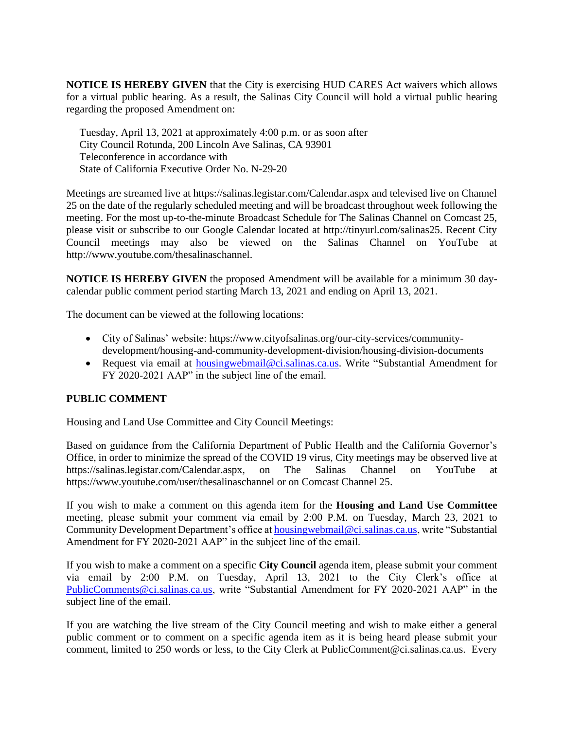**NOTICE IS HEREBY GIVEN** that the City is exercising HUD CARES Act waivers which allows for a virtual public hearing. As a result, the Salinas City Council will hold a virtual public hearing regarding the proposed Amendment on:

Tuesday, April 13, 2021 at approximately 4:00 p.m. or as soon after City Council Rotunda, 200 Lincoln Ave Salinas, CA 93901 Teleconference in accordance with State of California Executive Order No. N-29-20

Meetings are streamed live at https://salinas.legistar.com/Calendar.aspx and televised live on Channel 25 on the date of the regularly scheduled meeting and will be broadcast throughout week following the meeting. For the most up-to-the-minute Broadcast Schedule for The Salinas Channel on Comcast 25, please visit or subscribe to our Google Calendar located at http://tinyurl.com/salinas25. Recent City Council meetings may also be viewed on the Salinas Channel on YouTube at http://www.youtube.com/thesalinaschannel.

**NOTICE IS HEREBY GIVEN** the proposed Amendment will be available for a minimum 30 daycalendar public comment period starting March 13, 2021 and ending on April 13, 2021.

The document can be viewed at the following locations:

- City of Salinas' website: https://www.cityofsalinas.org/our-city-services/communitydevelopment/housing-and-community-development-division/housing-division-documents
- Request via email at [housingwebmail@ci.salinas.ca.us.](mailto:housingwebmail@ci.salinas.ca.us) Write "Substantial Amendment for FY 2020-2021 AAP" in the subject line of the email.

## **PUBLIC COMMENT**

Housing and Land Use Committee and City Council Meetings:

Based on guidance from the California Department of Public Health and the California Governor's Office, in order to minimize the spread of the COVID 19 virus, City meetings may be observed live at https://salinas.legistar.com/Calendar.aspx, on The Salinas Channel on YouTube at https://www.youtube.com/user/thesalinaschannel or on Comcast Channel 25.

If you wish to make a comment on this agenda item for the **Housing and Land Use Committee**  meeting, please submit your comment via email by 2:00 P.M. on Tuesday, March 23, 2021 to Community Development Department's office a[t housingwebmail@ci.salinas.ca.us,](mailto:housingwebmail@ci.salinas.ca.us) write "Substantial Amendment for FY 2020-2021 AAP" in the subject line of the email.

If you wish to make a comment on a specific **City Council** agenda item, please submit your comment via email by 2:00 P.M. on Tuesday, April 13, 2021 to the City Clerk's office at [PublicComments@ci.salinas.ca.us,](mailto:PublicComments@ci.salinas.ca.us) write "Substantial Amendment for FY 2020-2021 AAP" in the subject line of the email.

If you are watching the live stream of the City Council meeting and wish to make either a general public comment or to comment on a specific agenda item as it is being heard please submit your comment, limited to 250 words or less, to the City Clerk at PublicComment@ci.salinas.ca.us. Every